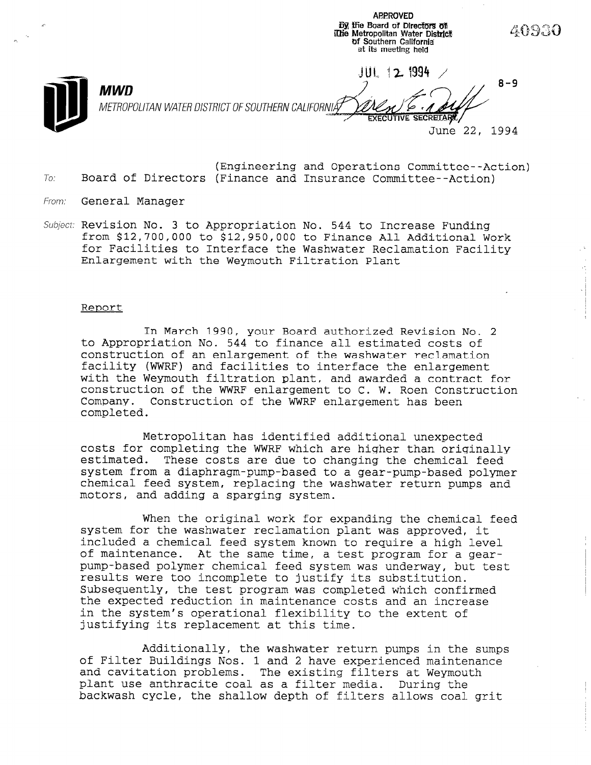**69 the Board of Directors of Ithe Metropolitan Water District** df Southern California' at its meeting held -%UI, 11 z '4994 / 8-9 **MWD** METROPOLITAN WATER DISTRICT OF SOUTHERN CALIFORNIÅ *EXECUTIVE SECRETARY* June 22, 1994

ARPROVED

- (Engineering and Operations Committee--Action)  $To:$  Board of Directors (Finance and Insurance Committee--Action)
- From: General Manager
- Subject: Revision No. 3 to Appropriation No. 544 to Increase Funding from \$12,700,000 to \$12,950,000 to Finance All Additional Work for Facilities to Interface the Washwater Reclamation Facility Enlargement with the Weymouth Filtration Plant

#### Report

In March 1990, your Board authorized Revision No. 2 to Appropriation No. 544 to finance all estimated costs of construction of an enlargement of the washwater reclamation facility (WWRF) and facilities to interface the enlargement with the Weymouth filtration plant, and awarded a contract for construction of the WWRF enlargement to C. W. Roen Construction Company. Construction of the WWRF enlargement has been completed.

Metropolitan has identified additional unexpected costs for completing the WWRF which are higher than originally estimated. These costs are due to changing the chemical feed system from a diaphragm-pump-based to a gear-pump-based polymer chemical feed system, replacing the washwater return pumps and motors, and adding a sparging system.

When the original work for expanding the chemical feed system for the washwater reclamation plant was approved, it included a chemical feed system known to require a high level of maintenance. At the same time, a test program for a gearpump-based polymer chemical feed system was underway, but test results were too incomplete to justify its substitution. Subsequently, the test program was completed which confirmed Subsequently, the test program was completed which confirmed the expected reduction in maintenance costs and an increase in the system's operational flexibility to the extent of justifying its replacement at this time.

Additionally, the washwater return pumps in the sumps AQQLUIONAILY, UNE WASHWAUER REUURI DUMPS IN UNE SU of Filter Buildings Nos. 1 and 2 have experienced maintenance and cavitation problems. The existing filters at Weymouth plant use anthracite coal as a filter media. During the backwash cycle, the shallow depth of filters allows coal grit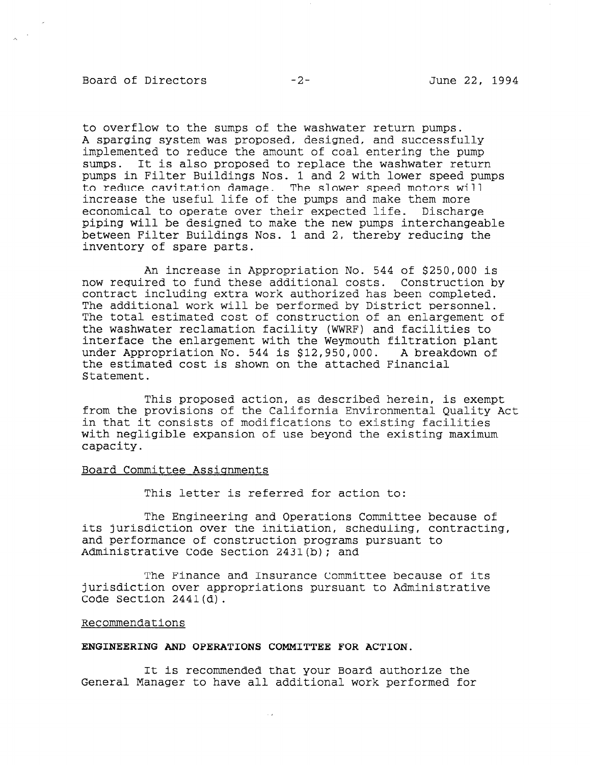### Board of Directors  $-2 -2-$  June 22, 1994

to overflow to the sumps of the washwater return pumps. A sparging system was proposed, designed, and successfully implemented to reduce the amount of coal entering the pump sumps. It is also proposed to replace the washwater return pumps in Filter Buildings Nos. 1 and 2 with lower speed pumps to reduce cavitation damage. The slower speed motors will increase the useful life of the pumps and make them more economical to operate over their expected life. Discharge piping will be designed to make the new pumps interchangeable between Filter Buildings Nos. 1 and 2, thereby reducing the inventory of spare parts.

An increase in Appropriation No. 544 of \$250,000 is now required to fund these additional costs. Construction by contract including extra work authorized has been completed. The additional work will be performed by District personnel. The total estimated cost of construction of an enlargement of the washwater reclamation facility (WWRF) and facilities to interface the enlargement with the Weymouth filtration plant under Appropriation No. 544 is \$12,950,000. A breakdown of the estimated cost is shown on the attached Financial Statement.

This proposed action, as described herein, is exempt from the provisions of the California Environmental Quality Act in that it consists of modifications to existing facilit with negligible expansion of use beyond the existing maximum capacity.

#### Board Committee Assignments

This letter is referred for action to:

The Engineering and Operations Committee because of its jurisdiction over the initiation, scheduling, contracting, and performance of construction programs pursuant to Administrative Code Section 2431(b): and

The Finance and Insurance Committee because of its jurisdiction over appropriations pursuant to Administrative Code Section 2441(d).

#### Recommendations

### ENGINEERING AND OPERATIONS COMMITTEE FOR ACTION.

It is recommended that your Board authorize the It is recommended that your board authorize the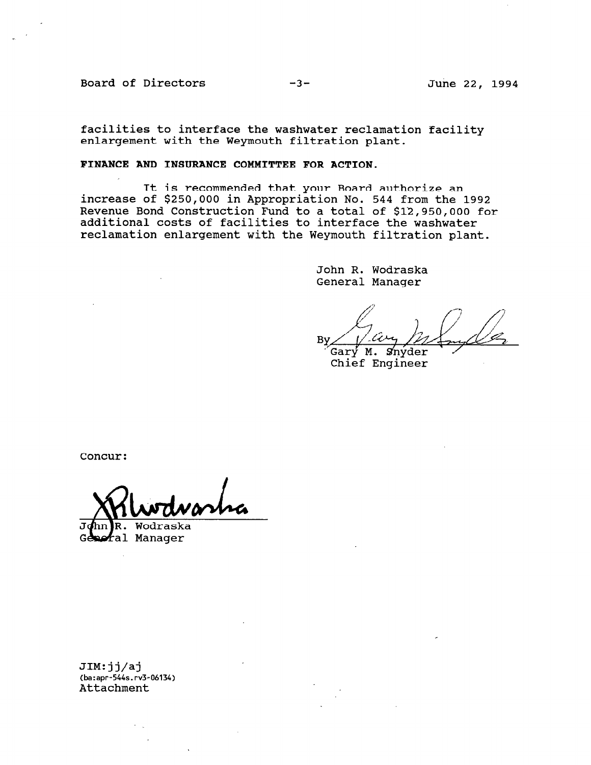Board of Directors -3- June 22, 1994

facilities to interface the washwater reclamation facility enlargement with the Weymouth filtration plant.

# FINANCE AND INSURANCE COMMITTEE FOR ACTION.

It is recommended that your Board authorize an increase of \$250,000 in Appropriation No. 544 from the 1992 Revenue Bond Construction Fund to a total of \$12,950,000 for additional costs of facilities to interface the washwater reclamation enlargement with the Weymouth filtration plant.

> John R. Wodraska General Manager

Bv

Gary M. Snyder<br>Chief Engineer

Concur:

John R. Wodraska<br>Gemeral Manager

JIM:jj/aj ------<br>(ba:apr-544s.r<br>3.ths.phme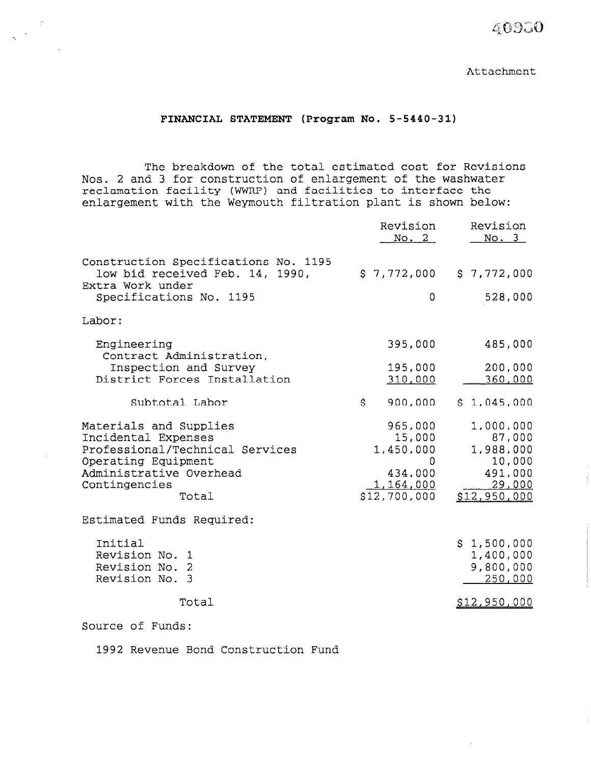40930

Attachment

## FINANCIAL STATEMENT (Program No. 5-5440-31)

The breakdown of the total estimated cost for Revisions Nos. 2 and 3 for construction of enlargement of the washwater reclamation facility (WWRF) and facilities to interface the enlargement with the Weymouth filtration plant is shown below:

|                                                                                                                                                              | Revision<br>No. 2                                                           | Revision<br>No. 3                                                               |
|--------------------------------------------------------------------------------------------------------------------------------------------------------------|-----------------------------------------------------------------------------|---------------------------------------------------------------------------------|
| Construction Specifications No. 1195<br>low bid received Feb. 14, 1990,<br>Extra Work under                                                                  | \$7,772,000                                                                 | \$7,772,000                                                                     |
| Specifications No. 1195                                                                                                                                      | 0                                                                           | 528,000                                                                         |
| Labor:                                                                                                                                                       |                                                                             |                                                                                 |
| Engineering<br>Contract Administration,                                                                                                                      | 395,000                                                                     | 485,000                                                                         |
| Inspection and Survey<br>District Forces Installation                                                                                                        | 195,000<br>310,000                                                          | 200,000<br>360,000                                                              |
| Subtotal Labor                                                                                                                                               | \$<br>900,000                                                               | \$1,045,000                                                                     |
| Materials and Supplies<br>Incidental Expenses<br>Professional/Technical Services<br>Operating Equipment<br>Administrative Overhead<br>Contingencies<br>Total | 965,000<br>15,000<br>1,450,000<br>0<br>434,000<br>1,164,000<br>\$12,700,000 | 1,000,000<br>87,000<br>1,988,000<br>10,000<br>491,000<br>29,000<br>\$12,950,000 |
| Estimated Funds Required:                                                                                                                                    |                                                                             |                                                                                 |
| Initial<br>Revision No. 1<br>Revision No. 2<br>Revision No. 3                                                                                                |                                                                             | \$1,500,000<br>1,400,000<br>9,800,000<br>250,000                                |
| Total                                                                                                                                                        |                                                                             | <u>\$12,950,000</u>                                                             |
| - C - C - J -                                                                                                                                                |                                                                             |                                                                                 |

Source of Funds:

1992 Revenue Bond Construction Fund